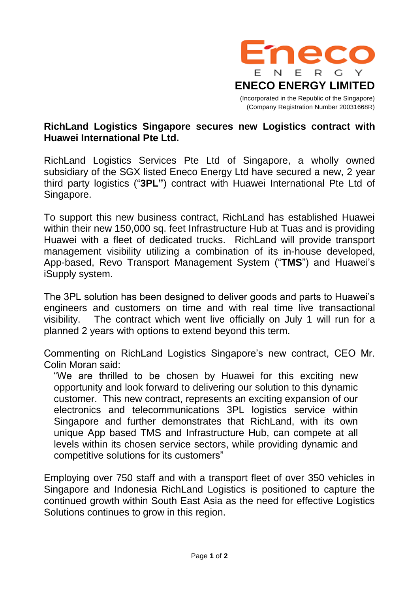

## **RichLand Logistics Singapore secures new Logistics contract with Huawei International Pte Ltd.**

RichLand Logistics Services Pte Ltd of Singapore, a wholly owned subsidiary of the SGX listed Eneco Energy Ltd have secured a new, 2 year third party logistics ("**3PL"**) contract with Huawei International Pte Ltd of Singapore.

To support this new business contract, RichLand has established Huawei within their new 150,000 sq. feet Infrastructure Hub at Tuas and is providing Huawei with a fleet of dedicated trucks. RichLand will provide transport management visibility utilizing a combination of its in-house developed, App-based, Revo Transport Management System ("**TMS**") and Huawei's iSupply system.

The 3PL solution has been designed to deliver goods and parts to Huawei's engineers and customers on time and with real time live transactional visibility. The contract which went live officially on July 1 will run for a planned 2 years with options to extend beyond this term.

Commenting on RichLand Logistics Singapore's new contract, CEO Mr. Colin Moran said:

"We are thrilled to be chosen by Huawei for this exciting new opportunity and look forward to delivering our solution to this dynamic customer. This new contract, represents an exciting expansion of our electronics and telecommunications 3PL logistics service within Singapore and further demonstrates that RichLand, with its own unique App based TMS and Infrastructure Hub, can compete at all levels within its chosen service sectors, while providing dynamic and competitive solutions for its customers"

Employing over 750 staff and with a transport fleet of over 350 vehicles in Singapore and Indonesia RichLand Logistics is positioned to capture the continued growth within South East Asia as the need for effective Logistics Solutions continues to grow in this region.